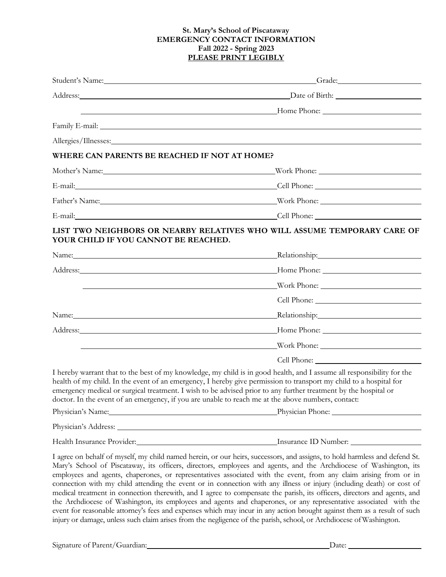## **St. Mary's School of Piscataway EMERGENCY CONTACT INFORMATION Fall 2022 - Spring 2023 PLEASE PRINT LEGIBLY**

|                                              | Student's Name: Camera Communication of the Communication of the Communication of the Communication of the Communication of the Communication of the Communication of the Communication of the Communication of the Communicat                                                                                                                                                                                                                                                                                                                                                                                                                                                                                                                                                                                                                                              |
|----------------------------------------------|-----------------------------------------------------------------------------------------------------------------------------------------------------------------------------------------------------------------------------------------------------------------------------------------------------------------------------------------------------------------------------------------------------------------------------------------------------------------------------------------------------------------------------------------------------------------------------------------------------------------------------------------------------------------------------------------------------------------------------------------------------------------------------------------------------------------------------------------------------------------------------|
|                                              |                                                                                                                                                                                                                                                                                                                                                                                                                                                                                                                                                                                                                                                                                                                                                                                                                                                                             |
|                                              |                                                                                                                                                                                                                                                                                                                                                                                                                                                                                                                                                                                                                                                                                                                                                                                                                                                                             |
|                                              |                                                                                                                                                                                                                                                                                                                                                                                                                                                                                                                                                                                                                                                                                                                                                                                                                                                                             |
|                                              |                                                                                                                                                                                                                                                                                                                                                                                                                                                                                                                                                                                                                                                                                                                                                                                                                                                                             |
| WHERE CAN PARENTS BE REACHED IF NOT AT HOME? |                                                                                                                                                                                                                                                                                                                                                                                                                                                                                                                                                                                                                                                                                                                                                                                                                                                                             |
|                                              | Mother's Name: Work Phone: Work Phone:                                                                                                                                                                                                                                                                                                                                                                                                                                                                                                                                                                                                                                                                                                                                                                                                                                      |
|                                              | E-mail: Cell Phone: Cell Phone:                                                                                                                                                                                                                                                                                                                                                                                                                                                                                                                                                                                                                                                                                                                                                                                                                                             |
|                                              | Father's Name: Nonethern Maria Communication and Maria Communication and Maria Communication and Maria Communication and Maria Communication and Maria Communication and Maria Communication and Maria Communication and Maria                                                                                                                                                                                                                                                                                                                                                                                                                                                                                                                                                                                                                                              |
|                                              | E-mail: Cell Phone: Cell Phone: Cell Phone:                                                                                                                                                                                                                                                                                                                                                                                                                                                                                                                                                                                                                                                                                                                                                                                                                                 |
| YOUR CHILD IF YOU CANNOT BE REACHED.         | LIST TWO NEIGHBORS OR NEARBY RELATIVES WHO WILL ASSUME TEMPORARY CARE OF                                                                                                                                                                                                                                                                                                                                                                                                                                                                                                                                                                                                                                                                                                                                                                                                    |
|                                              | Name: Relationship: Relationship: Relationship:                                                                                                                                                                                                                                                                                                                                                                                                                                                                                                                                                                                                                                                                                                                                                                                                                             |
|                                              |                                                                                                                                                                                                                                                                                                                                                                                                                                                                                                                                                                                                                                                                                                                                                                                                                                                                             |
|                                              | <u>Example 2001 and 2001 and 2001 and 2001 and 2001 and 2001 and 2001 and 2001 and 2001 and 2001 and 2001 and 200</u>                                                                                                                                                                                                                                                                                                                                                                                                                                                                                                                                                                                                                                                                                                                                                       |
|                                              |                                                                                                                                                                                                                                                                                                                                                                                                                                                                                                                                                                                                                                                                                                                                                                                                                                                                             |
|                                              | Relationship: Nelationship:                                                                                                                                                                                                                                                                                                                                                                                                                                                                                                                                                                                                                                                                                                                                                                                                                                                 |
|                                              | Address: Mome Phone: Mome Phone: Mome Phone: Mome Phone: Mome Phone: 2014                                                                                                                                                                                                                                                                                                                                                                                                                                                                                                                                                                                                                                                                                                                                                                                                   |
|                                              | <u> 1989 - Johann Barn, mars ann an t-Amhain an t-Amhain an t-Amhain an t-Amhain an t-Amhain an t-Amhain an t-Amh</u>                                                                                                                                                                                                                                                                                                                                                                                                                                                                                                                                                                                                                                                                                                                                                       |
|                                              |                                                                                                                                                                                                                                                                                                                                                                                                                                                                                                                                                                                                                                                                                                                                                                                                                                                                             |
|                                              | I hereby warrant that to the best of my knowledge, my child is in good health, and I assume all responsibility for the<br>health of my child. In the event of an emergency, I hereby give permission to transport my child to a hospital for<br>emergency medical or surgical treatment. I wish to be advised prior to any further treatment by the hospital or<br>doctor. In the event of an emergency, if you are unable to reach me at the above numbers, contact:<br>Physician's Name: Physician Phone: Physician Phone:                                                                                                                                                                                                                                                                                                                                                |
|                                              |                                                                                                                                                                                                                                                                                                                                                                                                                                                                                                                                                                                                                                                                                                                                                                                                                                                                             |
|                                              | Health Insurance Provider: Manual Manual Districts of Districts Containers and Districts Containers and Districts Containers and Districts Containers and Districts Containers and Districts Containers and Districts Containe                                                                                                                                                                                                                                                                                                                                                                                                                                                                                                                                                                                                                                              |
|                                              | I agree on behalf of myself, my child named herein, or our heirs, successors, and assigns, to hold harmless and defend St.<br>Mary's School of Piscataway, its officers, directors, employees and agents, and the Archdiocese of Washington, its<br>employees and agents, chaperones, or representatives associated with the event, from any claim arising from or in<br>connection with my child attending the event or in connection with any illness or injury (including death) or cost of<br>medical treatment in connection therewith, and I agree to compensate the parish, its officers, directors and agents, and<br>the Archdiocese of Washington, its employees and agents and chaperones, or any representative associated with the<br>event for reasonable attorney's fees and expenses which may incur in any action brought against them as a result of such |

injury or damage, unless such claim arises from the negligence of the parish, school, or Archdiocese ofWashington.